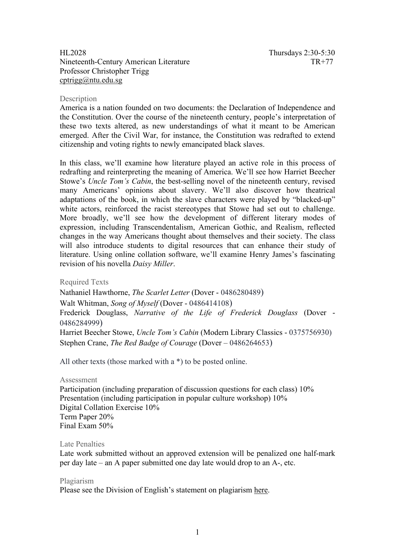# HL2028 Thursdays 2:30-5:30<br>Nineteenth-Century American Literature TR+77 Nineteenth-Century American Literature Professor Christopher Trigg [cptrigg@ntu.edu.sg](mailto:cptrigg@ntu.edu.sg)

### Description

America is a nation founded on two documents: the Declaration of Independence and the Constitution. Over the course of the nineteenth century, people's interpretation of these two texts altered, as new understandings of what it meant to be American emerged. After the Civil War, for instance, the Constitution was redrafted to extend citizenship and voting rights to newly emancipated black slaves.

In this class, we'll examine how literature played an active role in this process of redrafting and reinterpreting the meaning of America. We'll see how Harriet Beecher Stowe's *Uncle Tom's Cabin*, the best-selling novel of the nineteenth century, revised many Americans' opinions about slavery. We'll also discover how theatrical adaptations of the book, in which the slave characters were played by "blacked-up" white actors, reinforced the racist stereotypes that Stowe had set out to challenge. More broadly, we'll see how the development of different literary modes of expression, including Transcendentalism, American Gothic, and Realism, reflected changes in the way Americans thought about themselves and their society. The class will also introduce students to digital resources that can enhance their study of literature. Using online collation software, we'll examine Henry James's fascinating revision of his novella *Daisy Miller*.

Required Texts

Nathaniel Hawthorne, *The Scarlet Letter* (Dover - 0486280489) Walt Whitman, *Song of Myself* (Dover - 0486414108) Frederick Douglass, *Narrative of the Life of Frederick Douglass* (Dover - 0486284999) Harriet Beecher Stowe, *Uncle Tom's Cabin* (Modern Library Classics - 0375756930) Stephen Crane, *The Red Badge of Courage* (Dover – 0486264653)

All other texts (those marked with a \*) to be posted online.

#### Assessment

Participation (including preparation of discussion questions for each class) 10% Presentation (including participation in popular culture workshop) 10% Digital Collation Exercise 10% Term Paper 20% Final Exam 50%

# Late Penalties

Late work submitted without an approved extension will be penalized one half-mark per day late – an A paper submitted one day late would drop to an A-, etc.

#### Plagiarism

Please see the Division of English's statement on plagiarism [here.](http://english.hss.ntu.edu.sg/Documents/Plagiarism.pdf)